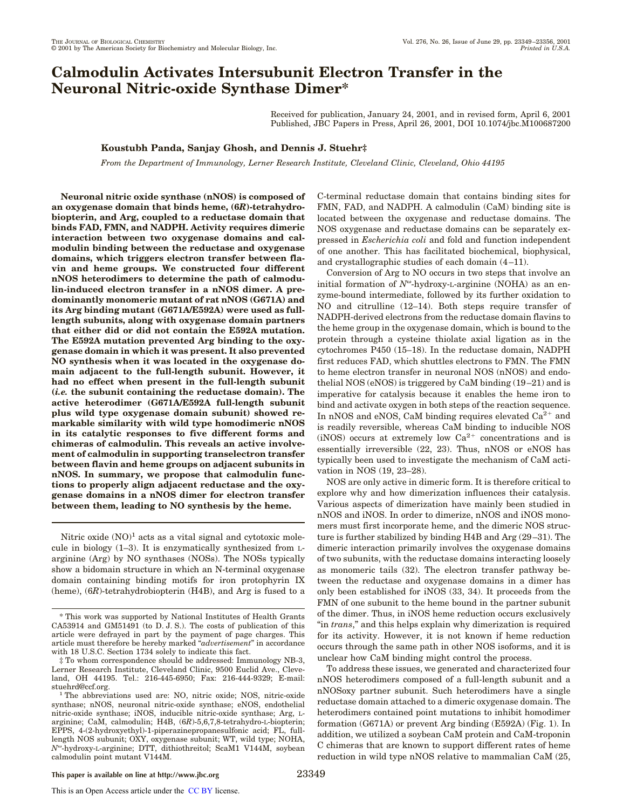# **Calmodulin Activates Intersubunit Electron Transfer in the Neuronal Nitric-oxide Synthase Dimer\***

Received for publication, January 24, 2001, and in revised form, April 6, 2001 Published, JBC Papers in Press, April 26, 2001, DOI 10.1074/jbc.M100687200

**Koustubh Panda, Sanjay Ghosh, and Dennis J. Stuehr‡**

*From the Department of Immunology, Lerner Research Institute, Cleveland Clinic, Cleveland, Ohio 44195*

**Neuronal nitric oxide synthase (nNOS) is composed of an oxygenase domain that binds heme, (6***R***)-tetrahydrobiopterin, and Arg, coupled to a reductase domain that binds FAD, FMN, and NADPH. Activity requires dimeric interaction between two oxygenase domains and calmodulin binding between the reductase and oxygenase domains, which triggers electron transfer between flavin and heme groups. We constructed four different nNOS heterodimers to determine the path of calmodulin-induced electron transfer in a nNOS dimer. A predominantly monomeric mutant of rat nNOS (G671A) and its Arg binding mutant (G671A/E592A) were used as fulllength subunits, along with oxygenase domain partners that either did or did not contain the E592A mutation. The E592A mutation prevented Arg binding to the oxygenase domain in which it was present. It also prevented NO synthesis when it was located in the oxygenase domain adjacent to the full-length subunit. However, it had no effect when present in the full-length subunit (***i.e.* **the subunit containing the reductase domain). The active heterodimer (G671A/E592A full-length subunit plus wild type oxygenase domain subunit) showed remarkable similarity with wild type homodimeric nNOS in its catalytic responses to five different forms and chimeras of calmodulin. This reveals an active involvement of calmodulin in supporting transelectron transfer between flavin and heme groups on adjacent subunits in nNOS. In summary, we propose that calmodulin functions to properly align adjacent reductase and the oxygenase domains in a nNOS dimer for electron transfer between them, leading to NO synthesis by the heme.**

Nitric oxide  $(NO)^1$  acts as a vital signal and cytotoxic molecule in biology (1–3). It is enzymatically synthesized from Larginine (Arg) by NO synthases (NOSs). The NOSs typically show a bidomain structure in which an N-terminal oxygenase domain containing binding motifs for iron protophyrin IX (heme), (6*R*)-tetrahydrobiopterin (H4B), and Arg is fused to a

C-terminal reductase domain that contains binding sites for FMN, FAD, and NADPH. A calmodulin (CaM) binding site is located between the oxygenase and reductase domains. The NOS oxygenase and reductase domains can be separately expressed in *Escherichia coli* and fold and function independent of one another. This has facilitated biochemical, biophysical, and crystallographic studies of each domain (4–11).

Conversion of Arg to NO occurs in two steps that involve an initial formation of *N*<sup>ω</sup>-hydroxy-L-arginine (NOHA) as an enzyme-bound intermediate, followed by its further oxidation to NO and citrulline (12–14). Both steps require transfer of NADPH-derived electrons from the reductase domain flavins to the heme group in the oxygenase domain, which is bound to the protein through a cysteine thiolate axial ligation as in the cytochromes P450 (15–18). In the reductase domain, NADPH first reduces FAD, which shuttles electrons to FMN. The FMN to heme electron transfer in neuronal NOS (nNOS) and endothelial NOS (eNOS) is triggered by CaM binding (19–21) and is imperative for catalysis because it enables the heme iron to bind and activate oxygen in both steps of the reaction sequence. In nNOS and eNOS, CaM binding requires elevated  $Ca<sup>2+</sup>$  and is readily reversible, whereas CaM binding to inducible NOS (iNOS) occurs at extremely low  $Ca^{2+}$  concentrations and is essentially irreversible (22, 23). Thus, nNOS or eNOS has typically been used to investigate the mechanism of CaM activation in NOS (19, 23–28).

NOS are only active in dimeric form. It is therefore critical to explore why and how dimerization influences their catalysis. Various aspects of dimerization have mainly been studied in nNOS and iNOS. In order to dimerize, nNOS and iNOS monomers must first incorporate heme, and the dimeric NOS structure is further stabilized by binding H4B and Arg (29–31). The dimeric interaction primarily involves the oxygenase domains of two subunits, with the reductase domains interacting loosely as monomeric tails (32). The electron transfer pathway between the reductase and oxygenase domains in a dimer has only been established for iNOS (33, 34). It proceeds from the FMN of one subunit to the heme bound in the partner subunit of the dimer. Thus, in iNOS heme reduction occurs exclusively "in *trans*," and this helps explain why dimerization is required for its activity. However, it is not known if heme reduction occurs through the same path in other NOS isoforms, and it is unclear how CaM binding might control the process.

To address these issues, we generated and characterized four nNOS heterodimers composed of a full-length subunit and a nNOSoxy partner subunit. Such heterodimers have a single reductase domain attached to a dimeric oxygenase domain. The heterodimers contained point mutations to inhibit homodimer formation (G671A) or prevent Arg binding (E592A) (Fig. 1). In addition, we utilized a soybean CaM protein and CaM-troponin C chimeras that are known to support different rates of heme reduction in wild type nNOS relative to mammalian CaM (25,

<sup>\*</sup> This work was supported by National Institutes of Health Grants CA53914 and GM51491 (to D. J. S.). The costs of publication of this article were defrayed in part by the payment of page charges. This article must therefore be hereby marked "*advertisement*" in accordance with 18 U.S.C. Section 1734 solely to indicate this fact.

<sup>‡</sup> To whom correspondence should be addressed: Immunology NB-3, Lerner Research Institute, Cleveland Clinic, 9500 Euclid Ave., Cleveland, OH 44195. Tel.: 216-445-6950; Fax: 216-444-9329; E-mail: stuehrd@ccf.org.

<sup>&</sup>lt;sup>1</sup> The abbreviations used are: NO, nitric oxide; NOS, nitric-oxide synthase; nNOS, neuronal nitric-oxide synthase; eNOS, endothelial nitric-oxide synthase; iNOS, inducible nitric-oxide synthase; Arg, Larginine; CaM, calmodulin; H4B, (6*R*)-5,6,7,8-tetrahydro-L-biopterin; EPPS, 4-(2-hydroxyethyl)-1-piperazinepropanesulfonic acid; FL, fulllength NOS subunit; OXY, oxygenase subunit; WT, wild type; NOHA, *N*<sup>v</sup> -hydroxy-L-arginine; DTT, dithiothreitol; ScaM1 V144M, soybean calmodulin point mutant V144M.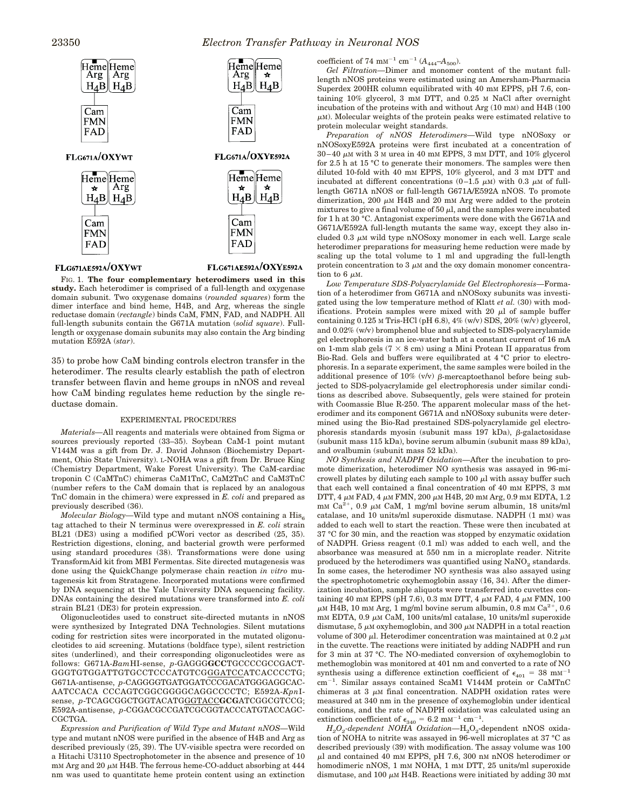

## FLG671AE592A/OXYWT

FLG671AE592A/OXYE592A

FIG. 1. **The four complementary heterodimers used in this study.** Each heterodimer is comprised of a full-length and oxygenase domain subunit. Two oxygenase domains (*rounded squares*) form the dimer interface and bind heme, H4B, and Arg, whereas the single reductase domain (*rectangle*) binds CaM, FMN, FAD, and NADPH. All full-length subunits contain the G671A mutation (*solid square*). Fulllength or oxygenase domain subunits may also contain the Arg binding mutation E592A (*star*).

35) to probe how CaM binding controls electron transfer in the heterodimer. The results clearly establish the path of electron transfer between flavin and heme groups in nNOS and reveal how CaM binding regulates heme reduction by the single reductase domain.

#### EXPERIMENTAL PROCEDURES

*Materials—*All reagents and materials were obtained from Sigma or sources previously reported (33–35). Soybean CaM-1 point mutant V144M was a gift from Dr. J. David Johnson (Biochemistry Department, Ohio State University). L-NOHA was a gift from Dr. Bruce King (Chemistry Department, Wake Forest University). The CaM-cardiac troponin C (CaMTnC) chimeras CaM1TnC, CaM2TnC and CaM3TnC (number refers to the CaM domain that is replaced by an analogous TnC domain in the chimera) were expressed in *E. coli* and prepared as previously described (36).

*Molecular Biology*—Wild type and mutant nNOS containing a His<sub>6</sub> tag attached to their N terminus were overexpressed in *E. coli* strain BL21 (DE3) using a modified pCWori vector as described (25, 35). Restriction digestions, cloning, and bacterial growth were performed using standard procedures (38). Transformations were done using TransformAid kit from MBI Fermentas. Site directed mutagenesis was done using the QuickChange polymerase chain reaction *in vitro* mutagenesis kit from Stratagene. Incorporated mutations were confirmed by DNA sequencing at the Yale University DNA sequencing facility. DNAs containing the desired mutations were transformed into *E. coli* strain BL21 (DE3) for protein expression.

Oligonucleotides used to construct site-directed mutants in nNOS were synthesized by Integrated DNA Technologies. Silent mutations coding for restriction sites were incorporated in the mutated oligonucleotides to aid screening. Mutations (boldface type), silent restriction sites (underlined), and their corresponding oligonucleotides were as follows: G671A-*Bam*HI-sense, *p*-GAGGG**GCC**TGCCCCGCCGACT-GGGTGTGGATTGTGCCTCCCATGTCGGGATCCATCACCCCTG; G671A-antisense, *p*-CAGGGGTGATGGATCCCGACATGGGAGGCAC-AATCCACA CCCAGTCGGCGGGGCAGGCCCCTC; E592A-*Kpn*Isense, p-TCAGCGGCTGGTACATGGGTACCGCGATCGGCGTCCG; E592A-antisense, *p*-CGGACGCCGATCGCGGTACCCATGTACCAGC-CGCTGA.

*Expression and Purification of Wild Type and Mutant nNOS—*Wild type and mutant nNOS were purified in the absence of H4B and Arg as described previously (25, 39). The UV-visible spectra were recorded on a Hitachi U3110 Spectrophotometer in the absence and presence of 10  $mm$  Arg and 20  $\mu$ M H4B. The ferrous heme-CO-adduct absorbing at 444 nm was used to quantitate heme protein content using an extinction

coefficient of 74 mm<sup>-1</sup> cm<sup>-1</sup> ( $A_{444}$ - $A_{500}$ ).

*Gel Filtration—*Dimer and monomer content of the mutant fulllength nNOS proteins were estimated using an Amersham-Pharmacia Superdex 200HR column equilibrated with 40 mm EPPS, pH 7.6, containing 10% glycerol, 3 mM DTT, and 0.25 M NaCl after overnight incubation of the proteins with and without Arg (10 mM) and H4B (100  $\mu$ M). Molecular weights of the protein peaks were estimated relative to protein molecular weight standards.

*Preparation of nNOS Heterodimers—*Wild type nNOSoxy or nNOSoxyE592A proteins were first incubated at a concentration of  $30-40 \mu$ M with 3 M urea in 40 mM EPPS, 3 mM DTT, and 10% glycerol for 2.5 h at 15 °C to generate their monomers. The samples were then diluted 10-fold with 40 mM EPPS, 10% glycerol, and 3 mM DTT and incubated at different concentrations  $(0-1.5 \mu M)$  with 0.3  $\mu$ M of fulllength G671A nNOS or full-length G671A/E592A nNOS. To promote dimerization, 200  $\mu$ M H4B and 20 mM Arg were added to the protein mixtures to give a final volume of 50  $\mu$ l, and the samples were incubated for 1 h at 30 °C. Antagonist experiments were done with the G671A and G671A/E592A full-length mutants the same way, except they also included 0.3  $\mu$ M wild type nNOSoxy monomer in each well. Large scale heterodimer preparations for measuring heme reduction were made by scaling up the total volume to 1 ml and upgrading the full-length protein concentration to 3  $\mu$ M and the oxy domain monomer concentration to 6  $\mu$ M.

*Low Temperature SDS-Polyacrylamide Gel Electrophoresis—*Formation of a heterodimer from G671A and nNOSoxy subunits was investigated using the low temperature method of Klatt *et al.* (30) with modifications. Protein samples were mixed with 20  $\mu$ l of sample buffer containing 0.125 M Tris-HCl (pH 6.8), 4% (w/v) SDS, 20% (w/v) glycerol, and 0.02% (w/v) bromphenol blue and subjected to SDS-polyacrylamide gel electrophoresis in an ice-water bath at a constant current of 16 mA on 1-mm slab gels ( $7 \times 8$  cm) using a Mini Protean II apparatus from Bio-Rad. Gels and buffers were equilibrated at 4 °C prior to electrophoresis. In a separate experiment, the same samples were boiled in the additional presence of 10% (v/v)  $\beta$ -mercaptoethanol before being subjected to SDS-polyacrylamide gel electrophoresis under similar conditions as described above. Subsequently, gels were stained for protein with Coomassie Blue R-250. The apparent molecular mass of the heterodimer and its component G671A and nNOSoxy subunits were determined using the Bio-Rad prestained SDS-polyacrylamide gel electrophoresis standards myosin (subunit mass  $197$  kDa),  $\beta$ -galactosidase (subunit mass 115 kDa), bovine serum albumin (subunit mass 89 kDa), and ovalbumin (subunit mass 52 kDa).

*NO Synthesis and NADPH Oxidation—*After the incubation to promote dimerization, heterodimer NO synthesis was assayed in 96-microwell plates by diluting each sample to  $100 \mu l$  with assay buffer such that each well contained a final concentration of 40 mM EPPS, 3 mM DTT, 4  $\mu$ M FAD, 4  $\mu$ M FMN, 200  $\mu$ M H4B, 20 mM Arg, 0.9 mM EDTA, 1.2  $\mu$ mM Ca<sup>2+</sup>, 0.9  $\mu$ M CaM, 1 mg/ml bovine serum albumin, 18 units/ml catalase, and 10 units/ml superoxide dismutase. NADPH (1 mM) was added to each well to start the reaction. These were then incubated at 37 °C for 30 min, and the reaction was stopped by enzymatic oxidation of NADPH. Griess reagent (0.1 ml) was added to each well, and the absorbance was measured at 550 nm in a microplate reader. Nitrite produced by the heterodimers was quantified using  $\text{NaNO}_2$  standards. In some cases, the heterodimer NO synthesis was also assayed using the spectrophotometric oxyhemoglobin assay (16, 34). After the dimerization incubation, sample aliquots were transferred into cuvettes containing 40 mm EPPS (pH 7.6), 0.3 mm DTT, 4  $\mu$ M FAD, 4  $\mu$ M FMN, 100  $\mu$ M H $\overline{AB}$ , 10 mM Arg, 1 mg/ml bovine serum albumin, 0.8 mM Ca<sup>2+</sup>, 0.6  $mm$  EDTA, 0.9  $\mu$ M CaM, 100 units/ml catalase, 10 units/ml superoxide dismutase,  $5 \mu M$  oxyhemoglobin, and  $300 \mu M$  NADPH in a total reaction volume of 300  $\mu$ l. Heterodimer concentration was maintained at 0.2  $\mu$ M in the cuvette. The reactions were initiated by adding NADPH and run for 3 min at 37 °C. The NO-mediated conversion of oxyhemoglobin to methemoglobin was monitored at 401 nm and converted to a rate of NO synthesis using a difference extinction coefficient of  $\epsilon_{401} = 38 \text{ mm}^{-1}$ cm<sup>-1</sup>. Similar assays contained ScaM1 V144M protein or CaMTnC chimeras at  $3 \mu$ M final concentration. NADPH oxidation rates were measured at 340 nm in the presence of oxyhemoglobin under identical conditions, and the rate of NADPH oxidation was calculated using an extinction coefficient of  $\epsilon_{340} = 6.2$  mM<sup>-1</sup> cm<sup>-1</sup>.

 $H_2O_2$ -dependent NOHA Oxidation— $H_2O_2$ -dependent nNOS oxidation of NOHA to nitrite was assayed in 96-well microplates at 37 °C as described previously (39) with modification. The assay volume was 100  $\mu$ l and contained 40 mM EPPS, pH 7.6, 300 nM nNOS heterodimer or homodimeric nNOS, 1 mm NOHA, 1 mm DTT, 25 units/ml superoxide dismutase, and 100  $\mu$ M H4B. Reactions were initiated by adding 30 mM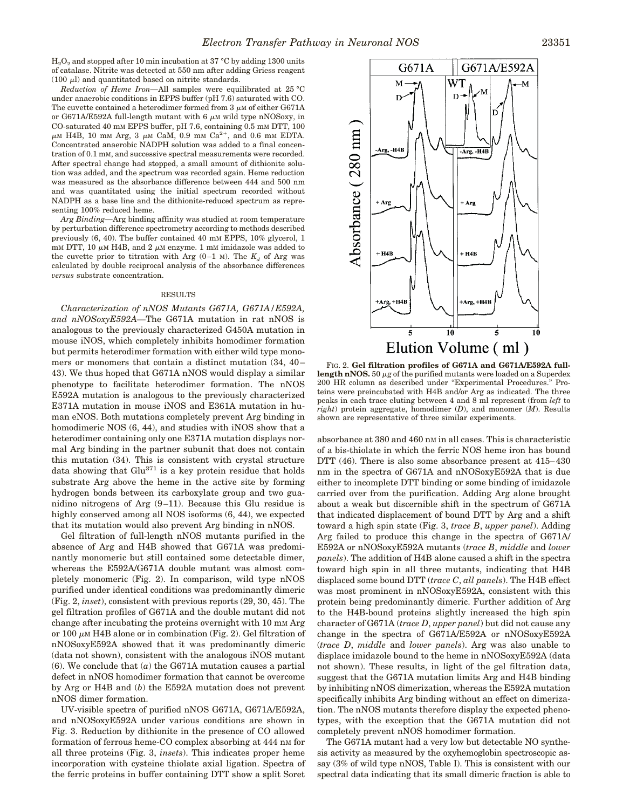$H<sub>2</sub>O<sub>2</sub>$  and stopped after 10 min incubation at 37 °C by adding 1300 units of catalase. Nitrite was detected at 550 nm after adding Griess reagent (100  $\mu$ l) and quantitated based on nitrite standards.

*Reduction of Heme Iron—*All samples were equilibrated at 25 °C under anaerobic conditions in EPPS buffer (pH 7.6) saturated with CO. The cuvette contained a heterodimer formed from  $3 \mu$ M of either G671A or G671A/E592A full-length mutant with 6  $\mu$ M wild type nNOSoxy, in CO-saturated 40 mM EPPS buffer, pH 7.6, containing 0.5 mM DTT, 100  $\mu$ M H4B, 10 mM Arg, 3  $\mu$ M CaM, 0.9 mM Ca<sup>2+</sup>, and 0.6 mM EDTA. Concentrated anaerobic NADPH solution was added to a final concentration of 0.1 mM, and successive spectral measurements were recorded. After spectral change had stopped, a small amount of dithionite solution was added, and the spectrum was recorded again. Heme reduction was measured as the absorbance difference between 444 and 500 nm and was quantitated using the initial spectrum recorded without NADPH as a base line and the dithionite-reduced spectrum as representing 100% reduced heme.

*Arg Binding—*Arg binding affinity was studied at room temperature by perturbation difference spectrometry according to methods described previously (6, 40). The buffer contained 40 mM EPPS, 10% glycerol, 1 mm DTT, 10  $\mu$ m H4B, and 2  $\mu$ m enzyme. 1 mm imidazole was added to the cuvette prior to titration with Arg  $(0-1)$  M). The  $K_d$  of Arg was calculated by double reciprocal analysis of the absorbance differences *versus* substrate concentration.

#### RESULTS

*Characterization of nNOS Mutants G671A, G671A/E592A, and nNOSoxyE592A—*The G671A mutation in rat nNOS is analogous to the previously characterized G450A mutation in mouse iNOS, which completely inhibits homodimer formation but permits heterodimer formation with either wild type monomers or monomers that contain a distinct mutation (34, 40– 43). We thus hoped that G671A nNOS would display a similar phenotype to facilitate heterodimer formation. The nNOS E592A mutation is analogous to the previously characterized E371A mutation in mouse iNOS and E361A mutation in human eNOS. Both mutations completely prevent Arg binding in homodimeric NOS  $(6, 44)$ , and studies with iNOS show that a heterodimer containing only one E371A mutation displays normal Arg binding in the partner subunit that does not contain this mutation (34). This is consistent with crystal structure data showing that Glu<sup>371</sup> is a key protein residue that holds substrate Arg above the heme in the active site by forming hydrogen bonds between its carboxylate group and two guanidino nitrogens of Arg (9–11). Because this Glu residue is highly conserved among all NOS isoforms (6, 44), we expected that its mutation would also prevent Arg binding in nNOS.

Gel filtration of full-length nNOS mutants purified in the absence of Arg and H4B showed that G671A was predominantly monomeric but still contained some detectable dimer, whereas the E592A/G671A double mutant was almost completely monomeric (Fig. 2). In comparison, wild type nNOS purified under identical conditions was predominantly dimeric (Fig. 2, *inset*), consistent with previous reports (29, 30, 45). The gel filtration profiles of G671A and the double mutant did not change after incubating the proteins overnight with 10 mm Arg or 100  $\mu$ M H4B alone or in combination (Fig. 2). Gel filtration of nNOSoxyE592A showed that it was predominantly dimeric (data not shown), consistent with the analogous iNOS mutant (6). We conclude that (*a*) the G671A mutation causes a partial defect in nNOS homodimer formation that cannot be overcome by Arg or H4B and (*b*) the E592A mutation does not prevent nNOS dimer formation.

UV-visible spectra of purified nNOS G671A, G671A/E592A, and nNOSoxyE592A under various conditions are shown in Fig. 3. Reduction by dithionite in the presence of CO allowed formation of ferrous heme-CO complex absorbing at 444 nm for all three proteins (Fig. 3, *insets*). This indicates proper heme incorporation with cysteine thiolate axial ligation. Spectra of the ferric proteins in buffer containing DTT show a split Soret



FIG. 2. **Gel filtration profiles of G671A and G671A/E592A fulllength nNOS.** 50  $\mu$ g of the purified mutants were loaded on a Superdex 200 HR column as described under "Experimental Procedures." Proteins were preincubated with H4B and/or Arg as indicated. The three peaks in each trace eluting between 4 and 8 ml represent (from *left* to *right*) protein aggregate, homodimer (*D*), and monomer (*M*). Results shown are representative of three similar experiments.

absorbance at 380 and 460 nM in all cases. This is characteristic of a bis-thiolate in which the ferric NOS heme iron has bound DTT (46). There is also some absorbance present at 415–430 nm in the spectra of G671A and nNOSoxyE592A that is due either to incomplete DTT binding or some binding of imidazole carried over from the purification. Adding Arg alone brought about a weak but discernible shift in the spectrum of G671A that indicated displacement of bound DTT by Arg and a shift toward a high spin state (Fig. 3, *trace B*, *upper panel*). Adding Arg failed to produce this change in the spectra of G671A/ E592A or nNOSoxyE592A mutants (*trace B*, *middle* and *lower panels*). The addition of H4B alone caused a shift in the spectra toward high spin in all three mutants, indicating that H4B displaced some bound DTT (*trace C*, *all panels*). The H4B effect was most prominent in nNOSoxyE592A, consistent with this protein being predominantly dimeric. Further addition of Arg to the H4B-bound proteins slightly increased the high spin character of G671A (*trace D*, *upper panel*) but did not cause any change in the spectra of G671A/E592A or nNOSoxyE592A (*trace D*, *middle* and *lower panels*). Arg was also unable to displace imidazole bound to the heme in nNOSoxyE592A (data not shown). These results, in light of the gel filtration data, suggest that the G671A mutation limits Arg and H4B binding by inhibiting nNOS dimerization, whereas the E592A mutation specifically inhibits Arg binding without an effect on dimerization. The nNOS mutants therefore display the expected phenotypes, with the exception that the G671A mutation did not completely prevent nNOS homodimer formation.

The G671A mutant had a very low but detectable NO synthesis activity as measured by the oxyhemoglobin spectroscopic assay (3% of wild type nNOS, Table I). This is consistent with our spectral data indicating that its small dimeric fraction is able to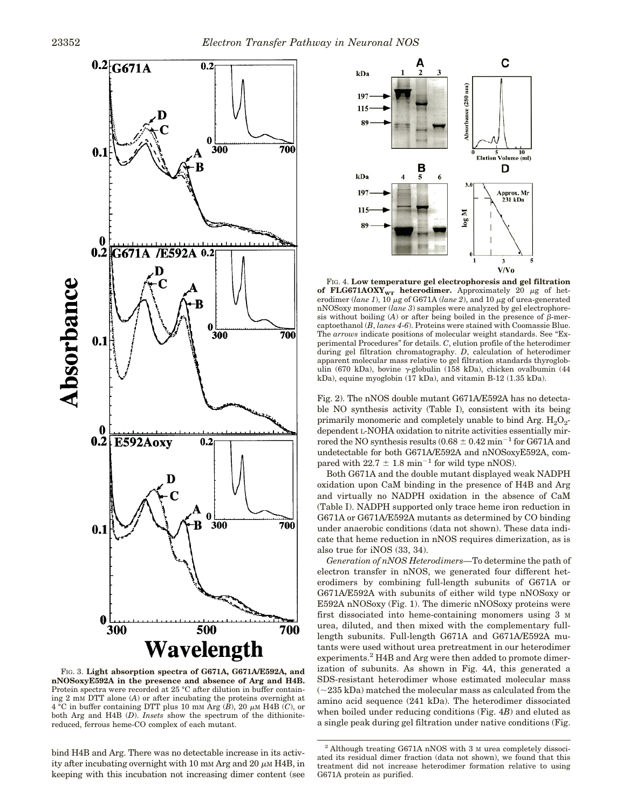

FIG. 3. **Light absorption spectra of G671A, G671A/E592A, and nNOSoxyE592A in the presence and absence of Arg and H4B.** Protein spectra were recorded at 25 °C after dilution in buffer containing 2 mM DTT alone (*A*) or after incubating the proteins overnight at  $4^{\circ}$ C in buffer containing DTT plus 10 mM Arg  $(B)$ , 20  $\mu$ M H4B  $(C)$ , or both Arg and H4B (*D*). *Insets* show the spectrum of the dithionitereduced, ferrous heme-CO complex of each mutant.

bind H4B and Arg. There was no detectable increase in its activity after incubating overnight with 10 mm Arg and 20  $\mu$ m H4B, in keeping with this incubation not increasing dimer content (see



FIG. 4. **Low temperature gel electrophoresis and gel filtration** of FLG671AOXY<sub>WT</sub> heterodimer. Approximately 20  $\mu$ g of heterodimer (*lane 1*),  $10 \mu$ g of G671A (*lane 2*), and 10  $\mu$ g of urea-generated nNOSoxy monomer (*lane 3*) samples were analyzed by gel electrophoresis without boiling  $(A)$  or after being boiled in the presence of  $\beta$ -mercaptoethanol (*B*, *lanes 4*-*6*). Proteins were stained with Coomassie Blue. The *arrows* indicate positions of molecular weight standards. See "Experimental Procedures" for details. *C*, elution profile of the heterodimer during gel filtration chromatography. *D*, calculation of heterodimer apparent molecular mass relative to gel filtration standards thyroglobulin (670 kDa), bovine  $\gamma$ -globulin (158 kDa), chicken ovalbumin (44 kDa), equine myoglobin (17 kDa), and vitamin B-12 (1.35 kDa).

Fig. 2). The nNOS double mutant G671A/E592A has no detectable NO synthesis activity (Table I), consistent with its being primarily monomeric and completely unable to bind Arg.  $H_2O_2$ dependent L-NOHA oxidation to nitrite activities essentially mirrored the NO synthesis results  $(0.68 \pm 0.42 \text{ min}^{-1}$  for G671A and undetectable for both G671A/E592A and nNOSoxyE592A, compared with  $22.7 \pm 1.8 \text{ min}^{-1}$  for wild type nNOS).

Both G671A and the double mutant displayed weak NADPH oxidation upon CaM binding in the presence of H4B and Arg and virtually no NADPH oxidation in the absence of CaM (Table I). NADPH supported only trace heme iron reduction in G671A or G671A/E592A mutants as determined by CO binding under anaerobic conditions (data not shown). These data indicate that heme reduction in nNOS requires dimerization, as is also true for iNOS (33, 34).

*Generation of nNOS Heterodimers—*To determine the path of electron transfer in nNOS, we generated four different heterodimers by combining full-length subunits of G671A or G671A/E592A with subunits of either wild type nNOSoxy or E592A nNOSoxy (Fig. 1). The dimeric nNOSoxy proteins were first dissociated into heme-containing monomers using 3 M urea, diluted, and then mixed with the complementary fulllength subunits. Full-length G671A and G671A/E592A mutants were used without urea pretreatment in our heterodimer experiments.<sup>2</sup> H4B and Arg were then added to promote dimerization of subunits. As shown in Fig. 4*A*, this generated a SDS-resistant heterodimer whose estimated molecular mass  $\sim$ 235 kDa) matched the molecular mass as calculated from the amino acid sequence (241 kDa). The heterodimer dissociated when boiled under reducing conditions (Fig. 4*B*) and eluted as a single peak during gel filtration under native conditions (Fig.

<sup>2</sup> Although treating G671A nNOS with 3 <sup>M</sup> urea completely dissociated its residual dimer fraction (data not shown), we found that this treatment did not increase heterodimer formation relative to using G671A protein as purified.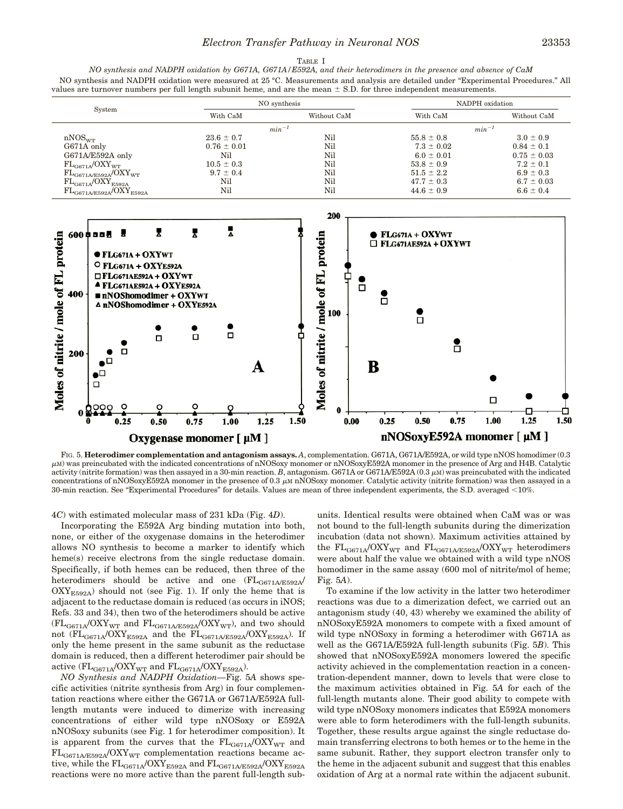# *Electron Transfer Pathway in Neuronal NOS* 23353

### TABLE I

*NO synthesis and NADPH oxidation by G671A, G671A/E592A, and their heterodimers in the presence and absence of CaM* NO synthesis and NADPH oxidation were measured at 25 °C. Measurements and analysis are detailed under "Experimental Procedures." All values are turnover numbers per full length subunit heme, and are the mean  $\pm$  S.D. for three independent measurements.

| System                         | NO synthesis    |             | NADPH oxidation |                 |
|--------------------------------|-----------------|-------------|-----------------|-----------------|
|                                | With CaM        | Without CaM | With CaM        | Without CaM     |
|                                | $min^{-1}$      |             | $min^{-1}$      |                 |
| nNOS <sub>WT</sub>             | $23.6 \pm 0.7$  | Nil         | $55.8 \pm 0.8$  | $3.0 \pm 0.9$   |
| G671A only                     | $0.76 \pm 0.01$ | Nil         | $7.3 \pm 0.02$  | $0.84 \pm 0.1$  |
| G671A/E592A only               | Nil             | Nil         | $6.0 \pm 0.01$  | $0.75 \pm 0.03$ |
| $FL_{GG71A}/OXY_{WT}$          | $10.5 \pm 0.3$  | Nil         | $53.8 \pm 0.9$  | $7.2 \pm 0.1$   |
| $FL_{GG71A/E592A}/OXY_{WT}$    | $9.7 \pm 0.4$   | Nil         | $51.5 \pm 2.2$  | $6.9 \pm 0.3$   |
| $FL_{GG71A}/OXY_{E592A}$       | Nil             | Nil         | $47.7 \pm 0.3$  | $6.7 \pm 0.03$  |
| $FL_{GG71A/E592A}/OXY_{E592A}$ | Nil             | Nil         | $44.6 \pm 0.9$  | $6.6 \pm 0.4$   |



FIG. 5. **Heterodimer complementation and antagonism assays.** A, complementation. G671A, G671A/E592A, or wild type nNOS homodimer (0.3 <sup>m</sup>M) was preincubated with the indicated concentrations of nNOSoxy monomer or nNOSoxyE592A monomer in the presence of Arg and H4B. Catalytic activity (nitrite formation) was then assayed in a 30-min reaction. *B*, antagonism. G671A or G671A/E592A (0.3  $\mu$ M) was preincubated with the indicated concentrations of nNOSoxyE592A monomer in the presence of 0.3  $\mu$ M nNOSoxy monomer. Catalytic activity (nitrite formation) was then assayed in a 30-min reaction. See "Experimental Procedures" for details. Values are mean of three independent experiments, the S.D. averaged <10%.

4*C*) with estimated molecular mass of 231 kDa (Fig. 4*D*).

Incorporating the E592A Arg binding mutation into both, none, or either of the oxygenase domains in the heterodimer allows NO synthesis to become a marker to identify which heme(s) receive electrons from the single reductase domain. Specifically, if both hemes can be reduced, then three of the heterodimers should be active and one  $(FL_{GG71A/E592A}$  $\text{OXY}_{\text{E592A}}$ ) should not (see Fig. 1). If only the heme that is adjacent to the reductase domain is reduced (as occurs in iNOS; Refs. 33 and 34), then two of the heterodimers should be active  $(\mathrm{FL}_{\mathrm{GG71A}}/\mathrm{OXY}_{\mathrm{WT}}$  and  $\mathrm{FL}_{\mathrm{GG71A/E592A}}/\mathrm{OXY}_{\mathrm{WT}}),$  and two should not  $(\text{FL}_{\text{GG71A}} / \text{OXY}_{\text{E592A}})$  and the  $\text{FL}_{\text{GG71A/E592A}} / \text{OXY}_{\text{E592A}})$ . If only the heme present in the same subunit as the reductase domain is reduced, then a different heterodimer pair should be active  $(\text{FL}_{\text{GG71A}} / \text{OXY}_{\text{WT}}$  and  $\text{FL}_{\text{GG71A}} / \text{OXY}_{\text{E592A}})$ .

*NO Synthesis and NADPH Oxidation—*Fig. 5*A* shows specific activities (nitrite synthesis from Arg) in four complementation reactions where either the G671A or G671A/E592A fulllength mutants were induced to dimerize with increasing concentrations of either wild type nNOSoxy or E592A nNOSoxy subunits (see Fig. 1 for heterodimer composition). It is apparent from the curves that the  $FL_{GG71A}/OXY_{WT}$  and  $FL_{GG71A/E592A}/OXY_{WT}$  complementation reactions became active, while the  $FL_{GG71A}/OXY_{E592A}$  and  $FL_{GG71A/E592A}/OXY_{E592A}$ reactions were no more active than the parent full-length subunits. Identical results were obtained when CaM was or was not bound to the full-length subunits during the dimerization incubation (data not shown). Maximum activities attained by the  $\rm FL_{GG71A}/OXY_{WT}$  and  $\rm FL_{GG71A/ES92A}/OXY_{WT}$  heterodimers were about half the value we obtained with a wild type nNOS homodimer in the same assay (600 mol of nitrite/mol of heme; Fig. 5*A*).

To examine if the low activity in the latter two heterodimer reactions was due to a dimerization defect, we carried out an antagonism study (40, 43) whereby we examined the ability of nNOSoxyE592A monomers to compete with a fixed amount of wild type nNOSoxy in forming a heterodimer with G671A as well as the G671A/E592A full-length subunits (Fig. 5*B*). This showed that nNOSoxyE592A monomers lowered the specific activity achieved in the complementation reaction in a concentration-dependent manner, down to levels that were close to the maximum activities obtained in Fig. 5*A* for each of the full-length mutants alone. Their good ability to compete with wild type nNOSoxy monomers indicates that E592A monomers were able to form heterodimers with the full-length subunits. Together, these results argue against the single reductase domain transferring electrons to both hemes or to the heme in the same subunit. Rather, they support electron transfer only to the heme in the adjacent subunit and suggest that this enables oxidation of Arg at a normal rate within the adjacent subunit.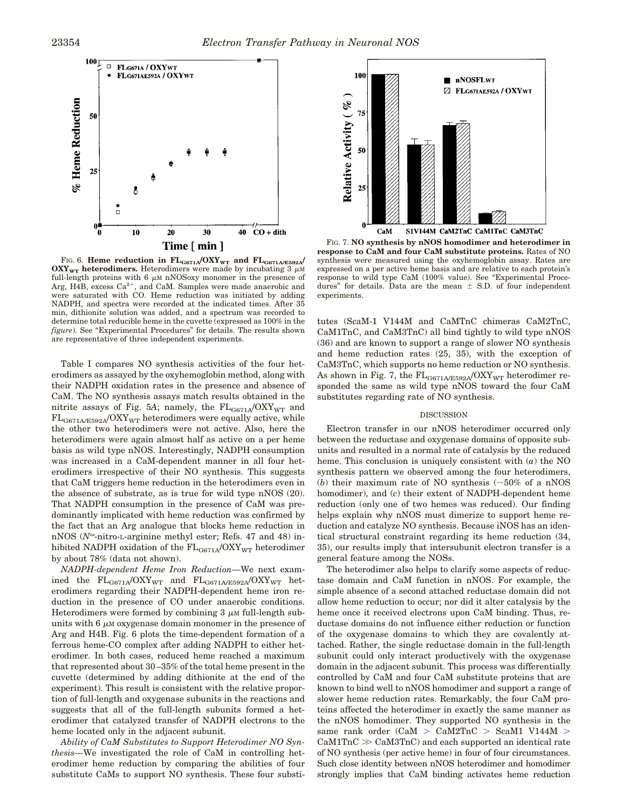

FIG. 6. **Heme reduction in FLG671A**<sup>*OXY*</sup>WT</sub> and FL<sub>G671A/E592A</sub><sup>*/*</sup>  $\overrightarrow{OXY}_{WT}$  **heterodimers.** Heterodimers were made by incubating 3  $\mu$ M full-length proteins with 6  $\mu$ M nNOSoxy monomer in the presence of Arg, H4B, excess  $Ca^{2+}$ , and CaM. Samples were made anaerobic and were saturated with CO. Heme reduction was initiated by adding NADPH, and spectra were recorded at the indicated times. After 35 min, dithionite solution was added, and a spectrum was recorded to determine total reducible heme in the cuvette (expressed as 100% in the *figure*). See "Experimental Procedures" for details. The results shown are representative of three independent experiments.

Table I compares NO synthesis activities of the four heterodimers as assayed by the oxyhemoglobin method, along with their NADPH oxidation rates in the presence and absence of CaM. The NO synthesis assays match results obtained in the nitrite assays of Fig. 5A; namely, the  $FL_{GG71A}/OXY_{WT}$  and  $FL_{GG71A/E592A}/OXY_{WT}$  heterodimers were equally active, while the other two heterodimers were not active. Also, here the heterodimers were again almost half as active on a per heme basis as wild type nNOS. Interestingly, NADPH consumption was increased in a CaM-dependent manner in all four heterodimers irrespective of their NO synthesis. This suggests that CaM triggers heme reduction in the heterodimers even in the absence of substrate, as is true for wild type nNOS (20). That NADPH consumption in the presence of CaM was predominantly implicated with heme reduction was confirmed by the fact that an Arg analogue that blocks heme reduction in  $nNOS (N<sup>\omega</sup>-nitro-L-arginine methyl ester; Refs. 47 and 48) in$ hibited NADPH oxidation of the  $FL_{GG71A}/OXY_{WT}$  heterodimer by about 78% (data not shown).

*NADPH-dependent Heme Iron Reduction—*We next examined the  $\rm FL_{GG71A}/OXY_{WT}}$  and  $\rm FL_{GG71A/E592A}/OXY_{WT}}$  heterodimers regarding their NADPH-dependent heme iron reduction in the presence of CO under anaerobic conditions. Heterodimers were formed by combining  $3 \mu M$  full-length subunits with  $6 \mu M$  oxygenase domain monomer in the presence of Arg and H4B. Fig. 6 plots the time-dependent formation of a ferrous heme-CO complex after adding NADPH to either heterodimer. In both cases, reduced heme reached a maximum that represented about 30–35% of the total heme present in the cuvette (determined by adding dithionite at the end of the experiment). This result is consistent with the relative proportion of full-length and oxygenase subunits in the reactions and suggests that all of the full-length subunits formed a heterodimer that catalyzed transfer of NADPH electrons to the heme located only in the adjacent subunit.

*Ability of CaM Substitutes to Support Heterodimer NO Synthesis—*We investigated the role of CaM in controlling heterodimer heme reduction by comparing the abilities of four substitute CaMs to support NO synthesis. These four substi-



FIG. 7. **NO synthesis by nNOS homodimer and heterodimer in response to CaM and four CaM substitute proteins.** Rates of NO synthesis were measured using the oxyhemoglobin assay. Rates are expressed on a per active heme basis and are relative to each protein's response to wild type CaM (100% value). See "Experimental Procedures" for details. Data are the mean  $\pm$  S.D. of four independent experiments.

tutes (ScaM-1 V144M and CaMTnC chimeras CaM2TnC, CaM1TnC, and CaM3TnC) all bind tightly to wild type nNOS (36) and are known to support a range of slower NO synthesis and heme reduction rates (25, 35), with the exception of CaM3TnC, which supports no heme reduction or NO synthesis. As shown in Fig. 7, the  $FL_{GG71A/E592A}/OXY_{WT}$  heterodimer responded the same as wild type nNOS toward the four CaM substitutes regarding rate of NO synthesis.

## **DISCUSSION**

Electron transfer in our nNOS heterodimer occurred only between the reductase and oxygenase domains of opposite subunits and resulted in a normal rate of catalysis by the reduced heme. This conclusion is uniquely consistent with (*a*) the NO synthesis pattern we observed among the four heterodimers, (*b*) their maximum rate of NO synthesis ( $\sim$ 50% of a nNOS homodimer), and (*c*) their extent of NADPH-dependent heme reduction (only one of two hemes was reduced). Our finding helps explain why nNOS must dimerize to support heme reduction and catalyze NO synthesis. Because iNOS has an identical structural constraint regarding its heme reduction (34, 35), our results imply that intersubunit electron transfer is a general feature among the NOSs.

The heterodimer also helps to clarify some aspects of reductase domain and CaM function in nNOS. For example, the simple absence of a second attached reductase domain did not allow heme reduction to occur; nor did it alter catalysis by the heme once it received electrons upon CaM binding. Thus, reductase domains do not influence either reduction or function of the oxygenase domains to which they are covalently attached. Rather, the single reductase domain in the full-length subunit could only interact productively with the oxygenase domain in the adjacent subunit. This process was differentially controlled by CaM and four CaM substitute proteins that are known to bind well to nNOS homodimer and support a range of slower heme reduction rates. Remarkably, the four CaM proteins affected the heterodimer in exactly the same manner as the nNOS homodimer. They supported NO synthesis in the same rank order (CaM  $>$  CaM2TnC  $>$  ScaM1 V144M  $>$  $CaM1TnC \gg CaM3TnC$  and each supported an identical rate of NO synthesis (per active heme) in four of four circumstances. Such close identity between nNOS heterodimer and homodimer strongly implies that CaM binding activates heme reduction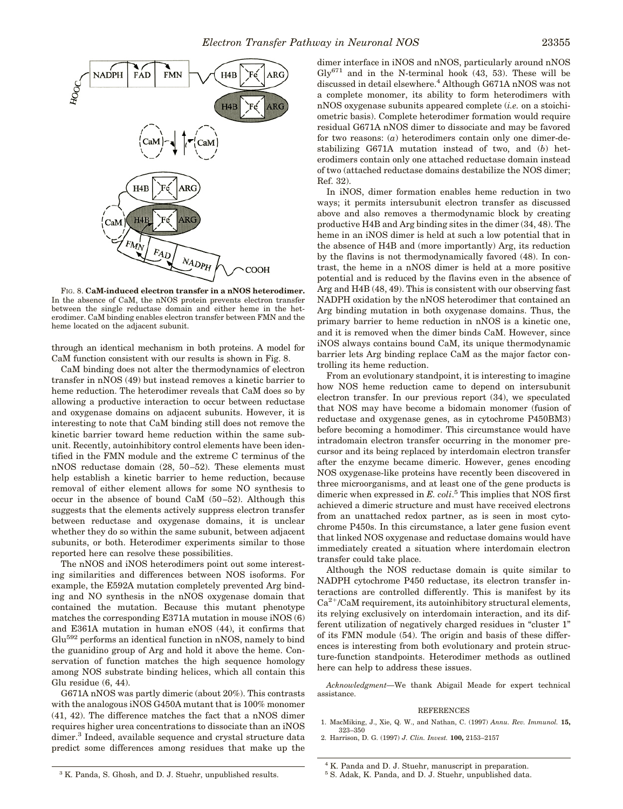

FIG. 8. **CaM-induced electron transfer in a nNOS heterodimer.** In the absence of CaM, the nNOS protein prevents electron transfer between the single reductase domain and either heme in the heterodimer. CaM binding enables electron transfer between FMN and the heme located on the adjacent subunit.

through an identical mechanism in both proteins. A model for CaM function consistent with our results is shown in Fig. 8.

CaM binding does not alter the thermodynamics of electron transfer in nNOS (49) but instead removes a kinetic barrier to heme reduction. The heterodimer reveals that CaM does so by allowing a productive interaction to occur between reductase and oxygenase domains on adjacent subunits. However, it is interesting to note that CaM binding still does not remove the kinetic barrier toward heme reduction within the same subunit. Recently, autoinhibitory control elements have been identified in the FMN module and the extreme C terminus of the nNOS reductase domain (28, 50–52). These elements must help establish a kinetic barrier to heme reduction, because removal of either element allows for some NO synthesis to occur in the absence of bound CaM (50–52). Although this suggests that the elements actively suppress electron transfer between reductase and oxygenase domains, it is unclear whether they do so within the same subunit, between adjacent subunits, or both. Heterodimer experiments similar to those reported here can resolve these possibilities.

The nNOS and iNOS heterodimers point out some interesting similarities and differences between NOS isoforms. For example, the E592A mutation completely prevented Arg binding and NO synthesis in the nNOS oxygenase domain that contained the mutation. Because this mutant phenotype matches the corresponding E371A mutation in mouse iNOS (6) and E361A mutation in human eNOS (44), it confirms that Glu<sup>592</sup> performs an identical function in nNOS, namely to bind the guanidino group of Arg and hold it above the heme. Conservation of function matches the high sequence homology among NOS substrate binding helices, which all contain this Glu residue (6, 44).

G671A nNOS was partly dimeric (about 20%). This contrasts with the analogous iNOS G450A mutant that is 100% monomer (41, 42). The difference matches the fact that a nNOS dimer requires higher urea concentrations to dissociate than an iNOS dimer.<sup>3</sup> Indeed, available sequence and crystal structure data predict some differences among residues that make up the dimer interface in iNOS and nNOS, particularly around nNOS  $\text{Gly}^{671}$  and in the N-terminal hook (43, 53). These will be discussed in detail elsewhere.<sup>4</sup> Although G671A nNOS was not a complete monomer, its ability to form heterodimers with nNOS oxygenase subunits appeared complete (*i.e.* on a stoichiometric basis). Complete heterodimer formation would require residual G671A nNOS dimer to dissociate and may be favored for two reasons: (*a*) heterodimers contain only one dimer-destabilizing G671A mutation instead of two, and (*b*) heterodimers contain only one attached reductase domain instead of two (attached reductase domains destabilize the NOS dimer; Ref. 32).

In iNOS, dimer formation enables heme reduction in two ways; it permits intersubunit electron transfer as discussed above and also removes a thermodynamic block by creating productive H4B and Arg binding sites in the dimer (34, 48). The heme in an iNOS dimer is held at such a low potential that in the absence of H4B and (more importantly) Arg, its reduction by the flavins is not thermodynamically favored (48). In contrast, the heme in a nNOS dimer is held at a more positive potential and is reduced by the flavins even in the absence of Arg and H4B (48, 49). This is consistent with our observing fast NADPH oxidation by the nNOS heterodimer that contained an Arg binding mutation in both oxygenase domains. Thus, the primary barrier to heme reduction in nNOS is a kinetic one, and it is removed when the dimer binds CaM. However, since iNOS always contains bound CaM, its unique thermodynamic barrier lets Arg binding replace CaM as the major factor controlling its heme reduction.

From an evolutionary standpoint, it is interesting to imagine how NOS heme reduction came to depend on intersubunit electron transfer. In our previous report (34), we speculated that NOS may have become a bidomain monomer (fusion of reductase and oxygenase genes, as in cytochrome P450BM3) before becoming a homodimer. This circumstance would have intradomain electron transfer occurring in the monomer precursor and its being replaced by interdomain electron transfer after the enzyme became dimeric. However, genes encoding NOS oxygenase-like proteins have recently been discovered in three microorganisms, and at least one of the gene products is dimeric when expressed in *E. coli*. <sup>5</sup> This implies that NOS first achieved a dimeric structure and must have received electrons from an unattached redox partner, as is seen in most cytochrome P450s. In this circumstance, a later gene fusion event that linked NOS oxygenase and reductase domains would have immediately created a situation where interdomain electron transfer could take place.

Although the NOS reductase domain is quite similar to NADPH cytochrome P450 reductase, its electron transfer interactions are controlled differently. This is manifest by its Ca<sup>2+</sup>/CaM requirement, its autoinhibitory structural elements, its relying exclusively on interdomain interaction, and its different utilization of negatively charged residues in "cluster 1" of its FMN module (54). The origin and basis of these differences is interesting from both evolutionary and protein structure-function standpoints. Heterodimer methods as outlined here can help to address these issues.

*Acknowledgment—*We thank Abigail Meade for expert technical assistance.

## **REFERENCES**

- 1. MacMiking, J., Xie, Q. W., and Nathan, C. (1997) *Annu. Rev. Immunol.* **15,** 323–350
- 2. Harrison, D. G. (1997) *J. Clin. Invest.* **100,** 2153–2157

<sup>&</sup>lt;sup>3</sup> K. Panda, S. Ghosh, and D. J. Stuehr, unpublished results.

<sup>4</sup> K. Panda and D. J. Stuehr, manuscript in preparation.

<sup>5</sup> S. Adak, K. Panda, and D. J. Stuehr, unpublished data.